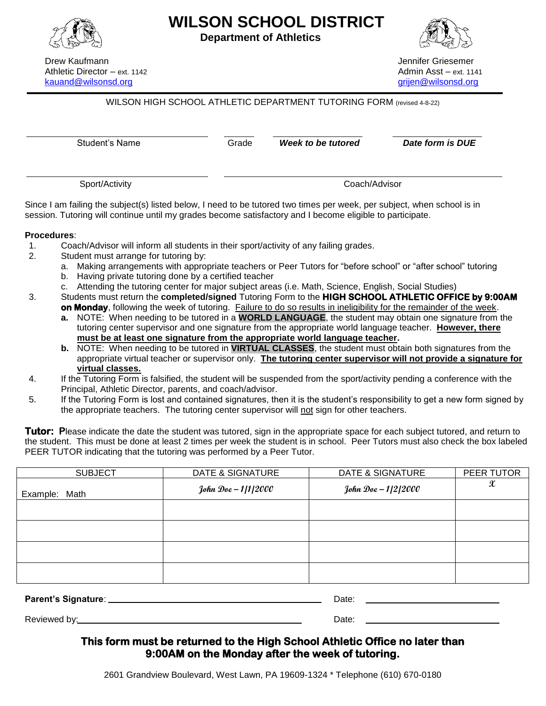

**WILSON SCHOOL DISTRICT**

**Department of Athletics**



Drew Kaufmann Jennifer Griesemer Athletic Director – ext. 1142 Admin Asst – ext. 1141 [kauand@wilsonsd.org](mailto:kauand@wilsonsd.org) [grijen@wilsonsd.org](mailto:grijen@wilsonsd.org)

## WILSON HIGH SCHOOL ATHLETIC DEPARTMENT TUTORING FORM (revised 4-8-22)

Student's Name Grade *Week to be tutored Date form is DUE*

Sport/Activity Coach/Advisor

Since I am failing the subject(s) listed below, I need to be tutored two times per week, per subject, when school is in session. Tutoring will continue until my grades become satisfactory and I become eligible to participate.

## **Procedures**:

1. Coach/Advisor will inform all students in their sport/activity of any failing grades.

- 2. Student must arrange for tutoring by:
	- a. Making arrangements with appropriate teachers or Peer Tutors for "before school" or "after school" tutoring
	- b. Having private tutoring done by a certified teacher
	- c. Attending the tutoring center for major subject areas (i.e. Math, Science, English, Social Studies)
- 3. Students must return the **completed/signed** Tutoring Form to the **HIGH SCHOOL ATHLETIC OFFICE by 9:00AM on Monday**, following the week of tutoring. Failure to do so results in ineligibility for the remainder of the week.
	- **a.** NOTE: When needing to be tutored in a **WORLD LANGUAGE**, the student may obtain one signature from the tutoring center supervisor and one signature from the appropriate world language teacher. **However, there must be at least one signature from the appropriate world language teacher.**
	- **b.** NOTE: When needing to be tutored in **VIRTUAL CLASSES**, the student must obtain both signatures from the appropriate virtual teacher or supervisor only. **The tutoring center supervisor will not provide a signature for virtual classes.**
- 4. If the Tutoring Form is falsified, the student will be suspended from the sport/activity pending a conference with the Principal, Athletic Director, parents, and coach/advisor.
- 5. If the Tutoring Form is lost and contained signatures, then it is the student's responsibility to get a new form signed by the appropriate teachers. The tutoring center supervisor will not sign for other teachers.

Tutor: Please indicate the date the student was tutored, sign in the appropriate space for each subject tutored, and return to the student. This must be done at least 2 times per week the student is in school. Peer Tutors must also check the box labeled PEER TUTOR indicating that the tutoring was performed by a Peer Tutor.

| <b>SUBJECT</b> | DATE & SIGNATURE    | DATE & SIGNATURE    | PEER TUTOR          |
|----------------|---------------------|---------------------|---------------------|
| Example: Math  | John Doe - 1/1/2000 | John Doe - 1/2/2000 | $\pmb{\mathcal{X}}$ |
|                |                     |                     |                     |
|                |                     |                     |                     |
|                |                     |                     |                     |
|                |                     |                     |                     |
|                |                     |                     |                     |

**Parent's Signature**: Date:

Reviewed by: Date: Note and the property of the property of the property of the property of the property of the property of the property of the property of the property of the property of the property of the property of th

## **This form must be returned to the High School Athletic Office no later than 9:00AM on the Monday after the week of tutoring.**